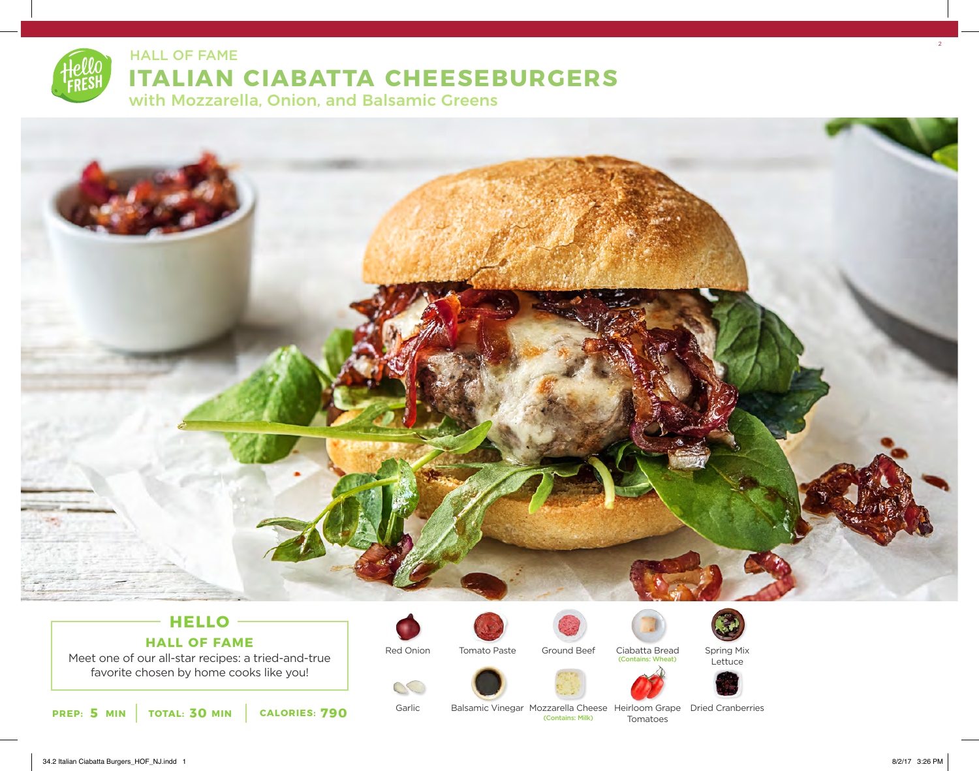

## HALL OF FAME ALL AND THE SERVICE OF THE SERVICE OF THE SERVICE OF THE SERVICE OF THE SERVICE OF THE SERVICE OF

# **ITALIAN CIABATTA CHEESEBURGERS**

with Mozzarella, Onion, and Balsamic Greens



### **HELLO HALL OF FAME**

Meet one of our all-star recipes: a tried-and-true favorite chosen by home cooks like you!

**5 30 790 PREP: MIN TOTAL: MIN CALORIES:**



Garlic

 $\mathcal{O}$ 



Ciabatta Bread (Contains: Wheat)





Lettuce





Balsamic Vinegar Mozzarella Cheese Heirloom Grape Dried Cranberries Tomatoes (Contains: Milk)